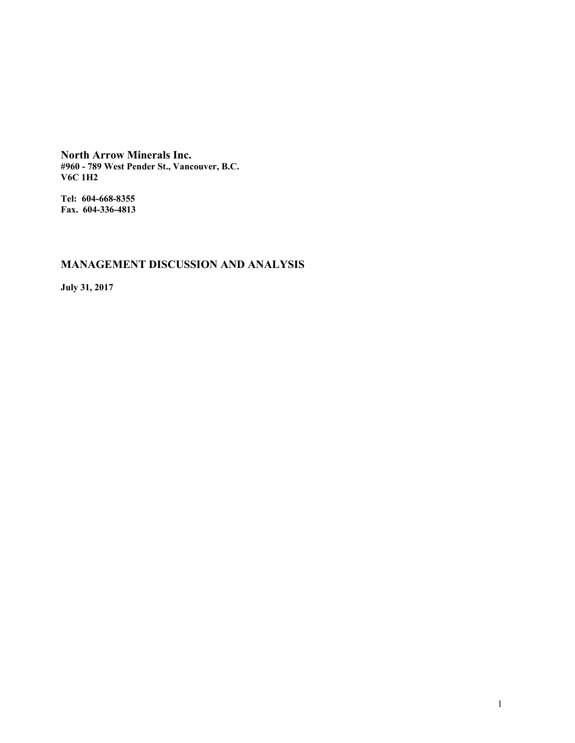**North Arrow Minerals Inc. #960 - 789 West Pender St., Vancouver, B.C. V6C 1H2**

**Tel: 604-668-8355 Fax. 604-336-4813**

# **MANAGEMENT DISCUSSION AND ANALYSIS**

**July 31, 2017**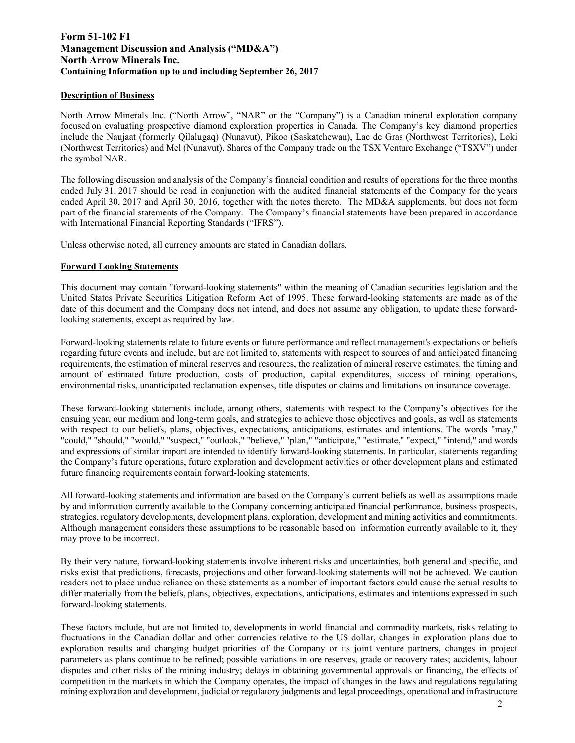## **Form 51-102 F1 Management Discussion and Analysis ("MD&A") North Arrow Minerals Inc. Containing Information up to and including September 26, 2017**

## **Description of Business**

North Arrow Minerals Inc. ("North Arrow", "NAR" or the "Company") is a Canadian mineral exploration company focused on evaluating prospective diamond exploration properties in Canada. The Company's key diamond properties include the Naujaat (formerly Qilalugaq) (Nunavut), Pikoo (Saskatchewan), Lac de Gras (Northwest Territories), Loki (Northwest Territories) and Mel (Nunavut). Shares of the Company trade on the TSX Venture Exchange ("TSXV") under the symbol NAR.

The following discussion and analysis of the Company's financial condition and results of operations for the three months ended July 31, 2017 should be read in conjunction with the audited financial statements of the Company for the years ended April 30, 2017 and April 30, 2016, together with the notes thereto. The MD&A supplements, but does not form part of the financial statements of the Company. The Company's financial statements have been prepared in accordance with International Financial Reporting Standards ("IFRS").

Unless otherwise noted, all currency amounts are stated in Canadian dollars.

## **Forward Looking Statements**

This document may contain "forward-looking statements" within the meaning of Canadian securities legislation and the United States Private Securities Litigation Reform Act of 1995. These forward-looking statements are made as of the date of this document and the Company does not intend, and does not assume any obligation, to update these forwardlooking statements, except as required by law.

Forward-looking statements relate to future events or future performance and reflect management's expectations or beliefs regarding future events and include, but are not limited to, statements with respect to sources of and anticipated financing requirements, the estimation of mineral reserves and resources, the realization of mineral reserve estimates, the timing and amount of estimated future production, costs of production, capital expenditures, success of mining operations, environmental risks, unanticipated reclamation expenses, title disputes or claims and limitations on insurance coverage.

These forward-looking statements include, among others, statements with respect to the Company's objectives for the ensuing year, our medium and long-term goals, and strategies to achieve those objectives and goals, as well as statements with respect to our beliefs, plans, objectives, expectations, anticipations, estimates and intentions. The words "may," "could," "should," "would," "suspect," "outlook," "believe," "plan," "anticipate," "estimate," "expect," "intend," and words and expressions of similar import are intended to identify forward-looking statements. In particular, statements regarding the Company's future operations, future exploration and development activities or other development plans and estimated future financing requirements contain forward-looking statements.

All forward-looking statements and information are based on the Company's current beliefs as well as assumptions made by and information currently available to the Company concerning anticipated financial performance, business prospects, strategies, regulatory developments, development plans, exploration, development and mining activities and commitments. Although management considers these assumptions to be reasonable based on information currently available to it, they may prove to be incorrect.

By their very nature, forward-looking statements involve inherent risks and uncertainties, both general and specific, and risks exist that predictions, forecasts, projections and other forward-looking statements will not be achieved. We caution readers not to place undue reliance on these statements as a number of important factors could cause the actual results to differ materially from the beliefs, plans, objectives, expectations, anticipations, estimates and intentions expressed in such forward-looking statements.

These factors include, but are not limited to, developments in world financial and commodity markets, risks relating to fluctuations in the Canadian dollar and other currencies relative to the US dollar, changes in exploration plans due to exploration results and changing budget priorities of the Company or its joint venture partners, changes in project parameters as plans continue to be refined; possible variations in ore reserves, grade or recovery rates; accidents, labour disputes and other risks of the mining industry; delays in obtaining governmental approvals or financing, the effects of competition in the markets in which the Company operates, the impact of changes in the laws and regulations regulating mining exploration and development, judicial or regulatory judgments and legal proceedings, operational and infrastructure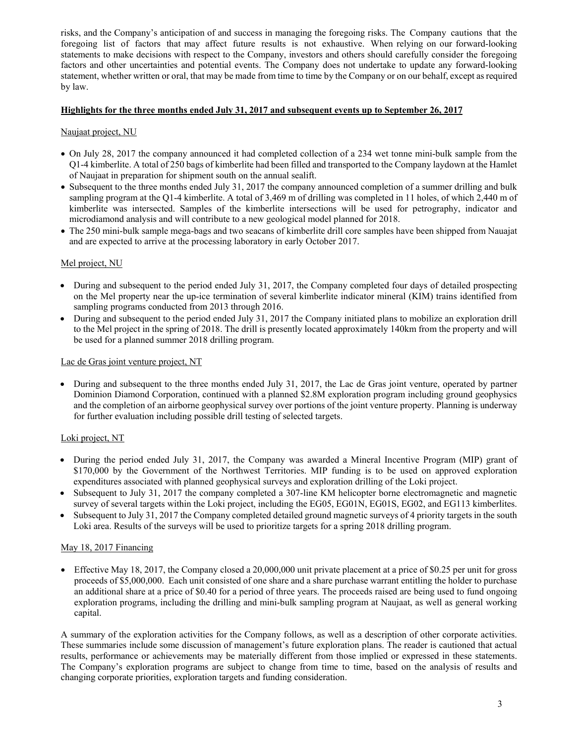risks, and the Company's anticipation of and success in managing the foregoing risks. The Company cautions that the foregoing list of factors that may affect future results is not exhaustive. When relying on our forward-looking statements to make decisions with respect to the Company, investors and others should carefully consider the foregoing factors and other uncertainties and potential events. The Company does not undertake to update any forward-looking statement, whether written or oral, that may be made from time to time by the Company or on our behalf, except as required by law.

## **Highlights for the three months ended July 31, 2017 and subsequent events up to September 26, 201**

## Naujaat project, NU

- On July 28, 2017 the company announced it had completed collection of a 234 wet tonne mini-bulk sample from the Q1-4 kimberlite. A total of 250 bags of kimberlite had been filled and transported to the Company laydown at the Hamlet of Naujaat in preparation for shipment south on the annual sealift.
- Subsequent to the three months ended July 31, 2017 the company announced completion of a summer drilling and bulk sampling program at the Q1-4 kimberlite. A total of 3,469 m of drilling was completed in 11 holes, of which 2,440 m of kimberlite was intersected. Samples of the kimberlite intersections will be used for petrography, indicator and microdiamond analysis and will contribute to a new geological model planned for 2018.
- The 250 mini-bulk sample mega-bags and two seacans of kimberlite drill core samples have been shipped from Nauajat and are expected to arrive at the processing laboratory in early October 2017.

## Mel project, NU

- During and subsequent to the period ended July 31, 2017, the Company completed four days of detailed prospecting on the Mel property near the up-ice termination of several kimberlite indicator mineral (KIM) trains identified from sampling programs conducted from 2013 through 2016.
- During and subsequent to the period ended July 31, 2017 the Company initiated plans to mobilize an exploration drill to the Mel project in the spring of 2018. The drill is presently located approximately 140km from the property and will be used for a planned summer 2018 drilling program.

## Lac de Gras joint venture project, NT

• During and subsequent to the three months ended July 31, 2017, the Lac de Gras joint venture, operated by partner Dominion Diamond Corporation, continued with a planned \$2.8M exploration program including ground geophysics and the completion of an airborne geophysical survey over portions of the joint venture property. Planning is underway for further evaluation including possible drill testing of selected targets.

## Loki project, NT

- During the period ended July 31, 2017, the Company was awarded a Mineral Incentive Program (MIP) grant of \$170,000 by the Government of the Northwest Territories. MIP funding is to be used on approved exploration expenditures associated with planned geophysical surveys and exploration drilling of the Loki project.
- Subsequent to July 31, 2017 the company completed a 307-line KM helicopter borne electromagnetic and magnetic survey of several targets within the Loki project, including the EG05, EG01N, EG01S, EG02, and EG113 kimberlites.
- Subsequent to July 31, 2017 the Company completed detailed ground magnetic surveys of 4 priority targets in the south Loki area. Results of the surveys will be used to prioritize targets for a spring 2018 drilling program.

## May 18, 2017 Financing

Effective May 18, 2017, the Company closed a  $20,000,000$  unit private placement at a price of \$0.25 per unit for gross proceeds of \$5,000,000. Each unit consisted of one share and a share purchase warrant entitling the holder to purchase an additional share at a price of \$0.40 for a period of three years. The proceeds raised are being used to fund ongoing exploration programs, including the drilling and mini-bulk sampling program at Naujaat, as well as general working capital.

A summary of the exploration activities for the Company follows, as well as a description of other corporate activities. These summaries include some discussion of management's future exploration plans. The reader is cautioned that actual results, performance or achievements may be materially different from those implied or expressed in these statements. The Company's exploration programs are subject to change from time to time, based on the analysis of results and changing corporate priorities, exploration targets and funding consideration.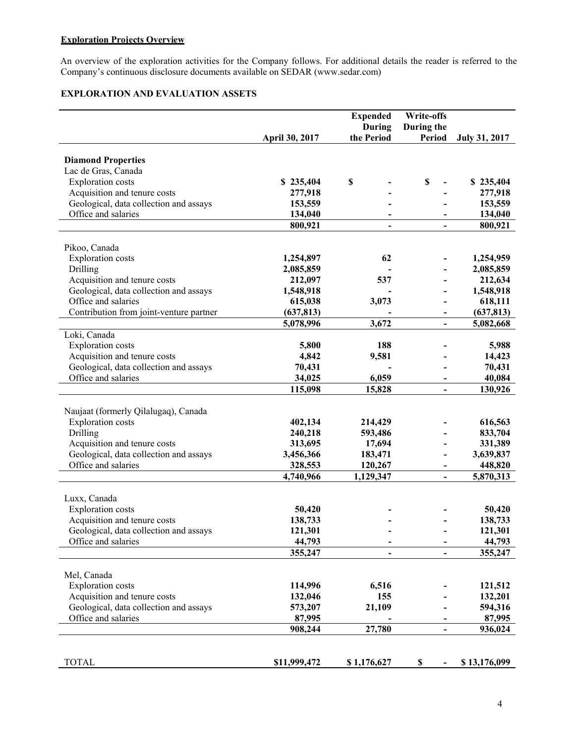## **Exploration Projects Overview**

An overview of the exploration activities for the Company follows. For additional details the reader is referred to the Company's continuous disclosure documents available on SEDAR (www.sedar.com)

## **EXPLORATION AND EVALUATION ASSETS**

|                                         |                   | <b>Expended</b>              | <b>Write-offs</b>            |                      |
|-----------------------------------------|-------------------|------------------------------|------------------------------|----------------------|
|                                         | April 30, 2017    | During<br>the Period         | During the<br>Period         | <b>July 31, 2017</b> |
|                                         |                   |                              |                              |                      |
| <b>Diamond Properties</b>               |                   |                              |                              |                      |
| Lac de Gras, Canada                     |                   |                              |                              |                      |
| <b>Exploration</b> costs                | \$235,404         | \$                           | $\mathbb S$                  | \$235,404            |
| Acquisition and tenure costs            | 277,918           |                              |                              | 277,918              |
| Geological, data collection and assays  | 153,559           |                              |                              | 153,559              |
| Office and salaries                     | 134,040           |                              |                              | 134,040              |
|                                         | 800,921           | $\overline{\phantom{a}}$     |                              | 800,921              |
|                                         |                   |                              |                              |                      |
| Pikoo, Canada                           |                   |                              |                              |                      |
| <b>Exploration</b> costs                | 1,254,897         | 62                           |                              | 1,254,959            |
| Drilling                                | 2,085,859         |                              |                              | 2,085,859            |
| Acquisition and tenure costs            | 212,097           | 537                          |                              | 212,634              |
| Geological, data collection and assays  | 1,548,918         |                              |                              | 1,548,918            |
| Office and salaries                     | 615,038           | 3,073                        |                              | 618,111              |
| Contribution from joint-venture partner | (637, 813)        |                              | $\overline{\phantom{a}}$     | (637, 813)           |
|                                         | 5,078,996         | 3,672                        | $\qquad \qquad \blacksquare$ | 5,082,668            |
| Loki, Canada                            |                   |                              |                              |                      |
| <b>Exploration</b> costs                | 5,800             | 188                          |                              | 5,988                |
| Acquisition and tenure costs            | 4,842             | 9,581                        |                              | 14,423               |
| Geological, data collection and assays  | 70,431            |                              |                              | 70,431               |
| Office and salaries                     | 34,025            | 6,059                        |                              | 40,084               |
|                                         | 115,098           | 15,828                       |                              | 130,926              |
|                                         |                   |                              |                              |                      |
| Naujaat (formerly Qilalugaq), Canada    |                   |                              |                              |                      |
| <b>Exploration</b> costs                | 402,134           | 214,429                      |                              | 616,563              |
| Drilling                                | 240,218           | 593,486                      |                              | 833,704              |
| Acquisition and tenure costs            | 313,695           | 17,694                       |                              | 331,389              |
| Geological, data collection and assays  | 3,456,366         | 183,471                      |                              | 3,639,837            |
| Office and salaries                     | 328,553           | 120,267                      |                              | 448,820              |
|                                         | 4,740,966         | 1,129,347                    | $\blacksquare$               | 5,870,313            |
| Luxx, Canada                            |                   |                              |                              |                      |
| <b>Exploration</b> costs                | 50,420            |                              |                              | 50,420               |
| Acquisition and tenure costs            | 138,733           |                              |                              | 138,733              |
| Geological, data collection and assays  |                   |                              |                              |                      |
| Office and salaries                     | 121,301<br>44,793 |                              |                              | 121,301<br>44,793    |
|                                         | 355,247           |                              |                              | 355,247              |
|                                         |                   | $\qquad \qquad \blacksquare$ |                              |                      |
| Mel, Canada                             |                   |                              |                              |                      |
| <b>Exploration</b> costs                | 114,996           | 6,516                        |                              | 121,512              |
| Acquisition and tenure costs            | 132,046           | 155                          |                              | 132,201              |
| Geological, data collection and assays  | 573,207           | 21,109                       |                              | 594,316              |
| Office and salaries                     | 87,995            |                              |                              | 87,995               |
|                                         | 908,244           | 27,780                       |                              | 936,024              |
|                                         |                   |                              |                              |                      |
|                                         |                   |                              |                              |                      |
| <b>TOTAL</b>                            | \$11,999,472      | \$1,176,627                  | \$                           | \$13,176,099         |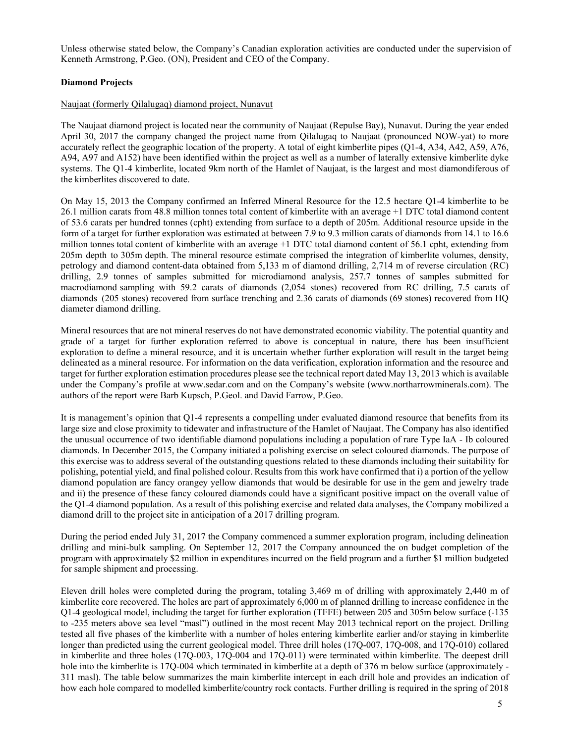Unless otherwise stated below, the Company's Canadian exploration activities are conducted under the supervision of Kenneth Armstrong, P.Geo. (ON), President and CEO of the Company.

## **Diamond Projects**

## Naujaat (formerly Qilalugaq) diamond project, Nunavut

The Naujaat diamond project is located near the community of Naujaat (Repulse Bay), Nunavut. During the year ended April 30, 2017 the company changed the project name from Qilalugaq to Naujaat (pronounced NOW-yat) to more accurately reflect the geographic location of the property. A total of eight kimberlite pipes (Q1-4, A34, A42, A59, A76, A94, A97 and A152) have been identified within the project as well as a number of laterally extensive kimberlite dyke systems. The Q1-4 kimberlite, located 9km north of the Hamlet of Naujaat, is the largest and most diamondiferous of the kimberlites discovered to date.

On May 15, 2013 the Company confirmed an Inferred Mineral Resource for the 12.5 hectare Q1-4 kimberlite to be 26.1 million carats from 48.8 million tonnes total content of kimberlite with an average +1 DTC total diamond content of 53.6 carats per hundred tonnes (cpht) extending from surface to a depth of 205m. Additional resource upside in the form of a target for further exploration was estimated at between 7.9 to 9.3 million carats of diamonds from 14.1 to 16.6 million tonnes total content of kimberlite with an average +1 DTC total diamond content of 56.1 cpht, extending from 205m depth to 305m depth. The mineral resource estimate comprised the integration of kimberlite volumes, density, petrology and diamond content-data obtained from 5,133 m of diamond drilling, 2,714 m of reverse circulation (RC) drilling, 2.9 tonnes of samples submitted for microdiamond analysis, 257.7 tonnes of samples submitted for macrodiamond sampling with 59.2 carats of diamonds (2,054 stones) recovered from RC drilling, 7.5 carats of diamonds (205 stones) recovered from surface trenching and 2.36 carats of diamonds (69 stones) recovered from HQ diameter diamond drilling.

Mineral resources that are not mineral reserves do not have demonstrated economic viability. The potential quantity and grade of a target for further exploration referred to above is conceptual in nature, there has been insufficient exploration to define a mineral resource, and it is uncertain whether further exploration will result in the target being delineated as a mineral resource. For information on the data verification, exploration information and the resource and target for further exploration estimation procedures please see the technical report dated May 13, 2013 which is available under the Company's profile at www.sedar.com and on the Company's website (www.northarrowminerals.com). The authors of the report were Barb Kupsch, P.Geol. and David Farrow, P.Geo.

It is management's opinion that Q1-4 represents a compelling under evaluated diamond resource that benefits from its large size and close proximity to tidewater and infrastructure of the Hamlet of Naujaat. The Company has also identified the unusual occurrence of two identifiable diamond populations including a population of rare Type IaA - Ib coloured diamonds. In December 2015, the Company initiated a polishing exercise on select coloured diamonds. The purpose of this exercise was to address several of the outstanding questions related to these diamonds including their suitability for polishing, potential yield, and final polished colour. Results from this work have confirmed that i) a portion of the yellow diamond population are fancy orangey yellow diamonds that would be desirable for use in the gem and jewelry trade and ii) the presence of these fancy coloured diamonds could have a significant positive impact on the overall value of the Q1-4 diamond population. As a result of this polishing exercise and related data analyses, the Company mobilized a diamond drill to the project site in anticipation of a 2017 drilling program.

During the period ended July 31, 2017 the Company commenced a summer exploration program, including delineation drilling and mini-bulk sampling. On September 12, 2017 the Company announced the on budget completion of the program with approximately \$2 million in expenditures incurred on the field program and a further \$1 million budgeted for sample shipment and processing.

Eleven drill holes were completed during the program, totaling 3,469 m of drilling with approximately 2,440 m of kimberlite core recovered. The holes are part of approximately 6,000 m of planned drilling to increase confidence in the Q1-4 geological model, including the target for further exploration (TFFE) between 205 and 305m below surface (-135 to -235 meters above sea level "masl") outlined in the most recent May 2013 technical report on the project. Drilling tested all five phases of the kimberlite with a number of holes entering kimberlite earlier and/or staying in kimberlite longer than predicted using the current geological model. Three drill holes (17Q-007, 17Q-008, and 17Q-010) collared in kimberlite and three holes (17Q-003, 17Q-004 and 17Q-011) were terminated within kimberlite. The deepest drill hole into the kimberlite is 17Q-004 which terminated in kimberlite at a depth of 376 m below surface (approximately -311 masl). The table below summarizes the main kimberlite intercept in each drill hole and provides an indication of how each hole compared to modelled kimberlite/country rock contacts. Further drilling is required in the spring of 2018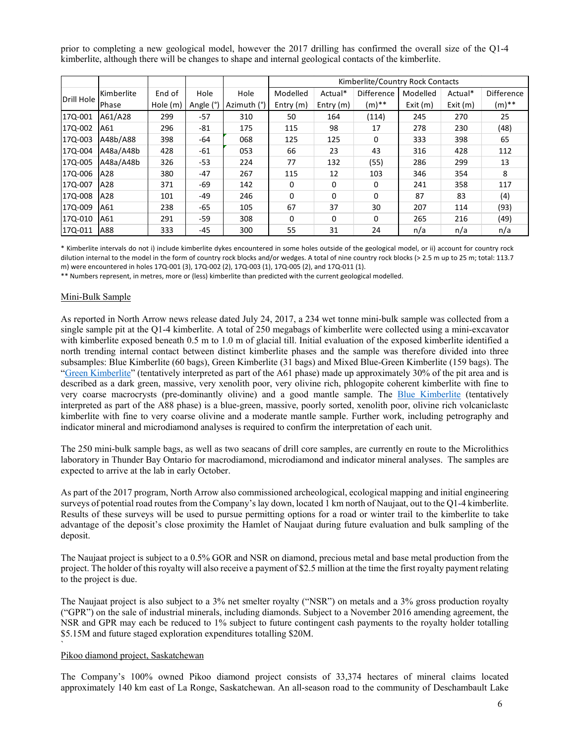prior to completing a new geological model, however the 2017 drilling has confirmed the overall size of the Q1-4 kimberlite, although there will be changes to shape and internal geological contacts of the kimberlite.

|            |            |          |           |             | Kimberlite/Country Rock Contacts |           |                   |          |         |                   |
|------------|------------|----------|-----------|-------------|----------------------------------|-----------|-------------------|----------|---------|-------------------|
|            | Kimberlite | End of   | Hole      | Hole        | Modelled                         | Actual*   | <b>Difference</b> | Modelled | Actual* | <b>Difference</b> |
| Drill Hole | Phase      | Hole (m) | Angle (°) | Azimuth (°) | Entry $(m)$                      | Entry (m) | $(m)$ **          | Exit(m)  | Exit(m) | $(m)$ **          |
| 17Q-001    | A61/A28    | 299      | $-57$     | 310         | 50                               | 164       | (114)             | 245      | 270     | 25                |
| 17Q-002    | A61        | 296      | $-81$     | 175         | 115                              | 98        | 17                | 278      | 230     | (48)              |
| 17Q-003    | A48b/A88   | 398      | -64       | 068         | 125                              | 125       | 0                 | 333      | 398     | 65                |
| 170-004    | A48a/A48b  | 428      | $-61$     | 053         | 66                               | 23        | 43                | 316      | 428     | 112               |
| 170-005    | A48a/A48b  | 326      | $-53$     | 224         | 77                               | 132       | (55)              | 286      | 299     | 13                |
| 17Q-006    | A28        | 380      | $-47$     | 267         | 115                              | 12        | 103               | 346      | 354     | 8                 |
| 17Q-007    | A28        | 371      | -69       | 142         | 0                                | $\Omega$  | 0                 | 241      | 358     | 117               |
| 17Q-008    | A28        | 101      | -49       | 246         | $\Omega$                         | $\Omega$  | $\Omega$          | 87       | 83      | (4)               |
| 170-009    | A61        | 238      | $-65$     | 105         | 67                               | 37        | 30                | 207      | 114     | (93)              |
| 17Q-010    | A61        | 291      | $-59$     | 308         | 0                                | $\Omega$  | 0                 | 265      | 216     | (49)              |
| 17Q-011    | A88        | 333      | -45       | 300         | 55                               | 31        | 24                | n/a      | n/a     | n/a               |

\* Kimberlite intervals do not i) include kimberlite dykes encountered in some holes outside of the geological model, or ii) account for country rock dilution internal to the model in the form of country rock blocks and/or wedges. A total of nine country rock blocks (> 2.5 m up to 25 m; total: 113.7 m) were encountered in holes 17Q‐001 (3), 17Q‐002 (2), 17Q‐003 (1), 17Q‐005 (2), and 17Q‐011 (1).

\*\* Numbers represent, in metres, more or (less) kimberlite than predicted with the current geological modelled.

#### Mini-Bulk Sample

As reported in North Arrow news release dated July 24, 2017, a 234 wet tonne mini-bulk sample was collected from a single sample pit at the Q1-4 kimberlite. A total of 250 megabags of kimberlite were collected using a mini-excavator with kimberlite exposed beneath 0.5 m to 1.0 m of glacial till. Initial evaluation of the exposed kimberlite identified a north trending internal contact between distinct kimberlite phases and the sample was therefore divided into three subsamples: Blue Kimberlite (60 bags), Green Kimberlite (31 bags) and Mixed Blue-Green Kimberlite (159 bags). The "Green Kimberlite" (tentatively interpreted as part of the A61 phase) made up approximately 30% of the pit area and is described as a dark green, massive, very xenolith poor, very olivine rich, phlogopite coherent kimberlite with fine to very coarse macrocrysts (pre-dominantly olivine) and a good mantle sample. The Blue Kimberlite (tentatively interpreted as part of the A88 phase) is a blue-green, massive, poorly sorted, xenolith poor, olivine rich volcaniclastc kimberlite with fine to very coarse olivine and a moderate mantle sample. Further work, including petrography and indicator mineral and microdiamond analyses is required to confirm the interpretation of each unit.

The 250 mini-bulk sample bags, as well as two seacans of drill core samples, are currently en route to the Microlithics laboratory in Thunder Bay Ontario for macrodiamond, microdiamond and indicator mineral analyses. The samples are expected to arrive at the lab in early October.

As part of the 2017 program, North Arrow also commissioned archeological, ecological mapping and initial engineering surveys of potential road routes from the Company's lay down, located 1 km north of Naujaat, out to the Q1-4 kimberlite. Results of these surveys will be used to pursue permitting options for a road or winter trail to the kimberlite to take advantage of the deposit's close proximity the Hamlet of Naujaat during future evaluation and bulk sampling of the deposit.

The Naujaat project is subject to a 0.5% GOR and NSR on diamond, precious metal and base metal production from the project. The holder of this royalty will also receive a payment of \$2.5 million at the time the first royalty payment relating to the project is due.

The Naujaat project is also subject to a 3% net smelter royalty ("NSR") on metals and a 3% gross production royalty ("GPR") on the sale of industrial minerals, including diamonds. Subject to a November 2016 amending agreement, the NSR and GPR may each be reduced to 1% subject to future contingent cash payments to the royalty holder totalling \$5.15M and future staged exploration expenditures totalling \$20M.

#### Pikoo diamond project, Saskatchewan

`

The Company's 100% owned Pikoo diamond project consists of 33,374 hectares of mineral claims located approximately 140 km east of La Ronge, Saskatchewan. An all-season road to the community of Deschambault Lake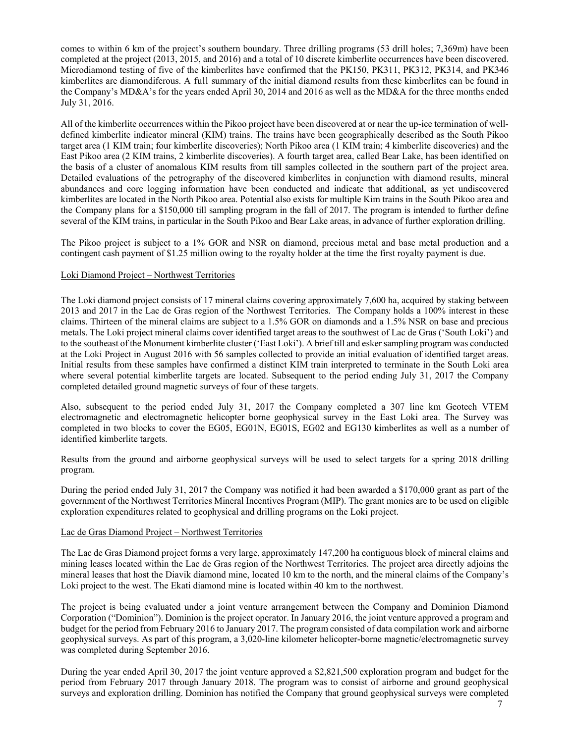comes to within 6 km of the project's southern boundary. Three drilling programs (53 drill holes; 7,369m) have been completed at the project (2013, 2015, and 2016) and a total of 10 discrete kimberlite occurrences have been discovered. Microdiamond testing of five of the kimberlites have confirmed that the PK150, PK311, PK312, PK314, and PK346 kimberlites are diamondiferous. A full summary of the initial diamond results from these kimberlites can be found in the Company's MD&A's for the years ended April 30, 2014 and 2016 as well as the MD&A for the three months ended July 31, 2016.

All of the kimberlite occurrences within the Pikoo project have been discovered at or near the up-ice termination of welldefined kimberlite indicator mineral (KIM) trains. The trains have been geographically described as the South Pikoo target area (1 KIM train; four kimberlite discoveries); North Pikoo area (1 KIM train; 4 kimberlite discoveries) and the East Pikoo area (2 KIM trains, 2 kimberlite discoveries). A fourth target area, called Bear Lake, has been identified on the basis of a cluster of anomalous KIM results from till samples collected in the southern part of the project area. Detailed evaluations of the petrography of the discovered kimberlites in conjunction with diamond results, mineral abundances and core logging information have been conducted and indicate that additional, as yet undiscovered kimberlites are located in the North Pikoo area. Potential also exists for multiple Kim trains in the South Pikoo area and the Company plans for a \$150,000 till sampling program in the fall of 2017. The program is intended to further define several of the KIM trains, in particular in the South Pikoo and Bear Lake areas, in advance of further exploration drilling.

The Pikoo project is subject to a 1% GOR and NSR on diamond, precious metal and base metal production and a contingent cash payment of \$1.25 million owing to the royalty holder at the time the first royalty payment is due.

#### Loki Diamond Project – Northwest Territories

The Loki diamond project consists of 17 mineral claims covering approximately 7,600 ha, acquired by staking between 2013 and 2017 in the Lac de Gras region of the Northwest Territories. The Company holds a 100% interest in these claims. Thirteen of the mineral claims are subject to a 1.5% GOR on diamonds and a 1.5% NSR on base and precious metals. The Loki project mineral claims cover identified target areas to the southwest of Lac de Gras ('South Loki') and to the southeast of the Monument kimberlite cluster ('East Loki'). A brief till and esker sampling program was conducted at the Loki Project in August 2016 with 56 samples collected to provide an initial evaluation of identified target areas. Initial results from these samples have confirmed a distinct KIM train interpreted to terminate in the South Loki area where several potential kimberlite targets are located. Subsequent to the period ending July 31, 2017 the Company completed detailed ground magnetic surveys of four of these targets.

Also, subsequent to the period ended July 31, 2017 the Company completed a 307 line km Geotech VTEM electromagnetic and electromagnetic helicopter borne geophysical survey in the East Loki area. The Survey was completed in two blocks to cover the EG05, EG01N, EG01S, EG02 and EG130 kimberlites as well as a number of identified kimberlite targets.

Results from the ground and airborne geophysical surveys will be used to select targets for a spring 2018 drilling program.

During the period ended July 31, 2017 the Company was notified it had been awarded a \$170,000 grant as part of the government of the Northwest Territories Mineral Incentives Program (MIP). The grant monies are to be used on eligible exploration expenditures related to geophysical and drilling programs on the Loki project.

#### Lac de Gras Diamond Project – Northwest Territories

The Lac de Gras Diamond project forms a very large, approximately 147,200 ha contiguous block of mineral claims and mining leases located within the Lac de Gras region of the Northwest Territories. The project area directly adjoins the mineral leases that host the Diavik diamond mine, located 10 km to the north, and the mineral claims of the Company's Loki project to the west. The Ekati diamond mine is located within 40 km to the northwest.

The project is being evaluated under a joint venture arrangement between the Company and Dominion Diamond Corporation ("Dominion"). Dominion is the project operator. In January 2016, the joint venture approved a program and budget for the period from February 2016 to January 2017. The program consisted of data compilation work and airborne geophysical surveys. As part of this program, a 3,020-line kilometer helicopter-borne magnetic/electromagnetic survey was completed during September 2016.

During the year ended April 30, 2017 the joint venture approved a \$2,821,500 exploration program and budget for the period from February 2017 through January 2018. The program was to consist of airborne and ground geophysical surveys and exploration drilling. Dominion has notified the Company that ground geophysical surveys were completed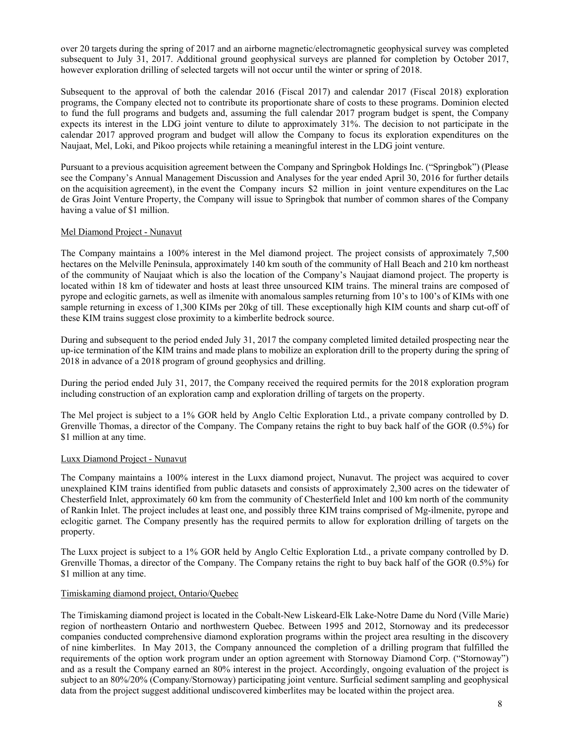over 20 targets during the spring of 2017 and an airborne magnetic/electromagnetic geophysical survey was completed subsequent to July 31, 2017. Additional ground geophysical surveys are planned for completion by October 2017, however exploration drilling of selected targets will not occur until the winter or spring of 2018.

Subsequent to the approval of both the calendar 2016 (Fiscal 2017) and calendar 2017 (Fiscal 2018) exploration programs, the Company elected not to contribute its proportionate share of costs to these programs. Dominion elected to fund the full programs and budgets and, assuming the full calendar 2017 program budget is spent, the Company expects its interest in the LDG joint venture to dilute to approximately 31%. The decision to not participate in the calendar 2017 approved program and budget will allow the Company to focus its exploration expenditures on the Naujaat, Mel, Loki, and Pikoo projects while retaining a meaningful interest in the LDG joint venture.

Pursuant to a previous acquisition agreement between the Company and Springbok Holdings Inc. ("Springbok") (Please see the Company's Annual Management Discussion and Analyses for the year ended April 30, 2016 for further details on the acquisition agreement), in the event the Company incurs \$2 million in joint venture expenditures on the Lac de Gras Joint Venture Property, the Company will issue to Springbok that number of common shares of the Company having a value of \$1 million.

## Mel Diamond Project - Nunavut

The Company maintains a 100% interest in the Mel diamond project. The project consists of approximately 7,500 hectares on the Melville Peninsula, approximately 140 km south of the community of Hall Beach and 210 km northeast of the community of Naujaat which is also the location of the Company's Naujaat diamond project. The property is located within 18 km of tidewater and hosts at least three unsourced KIM trains. The mineral trains are composed of pyrope and eclogitic garnets, as well as ilmenite with anomalous samples returning from 10's to 100's of KIMs with one sample returning in excess of 1,300 KIMs per 20kg of till. These exceptionally high KIM counts and sharp cut-off of these KIM trains suggest close proximity to a kimberlite bedrock source.

During and subsequent to the period ended July 31, 2017 the company completed limited detailed prospecting near the up-ice termination of the KIM trains and made plans to mobilize an exploration drill to the property during the spring of 2018 in advance of a 2018 program of ground geophysics and drilling.

During the period ended July 31, 2017, the Company received the required permits for the 2018 exploration program including construction of an exploration camp and exploration drilling of targets on the property.

The Mel project is subject to a 1% GOR held by Anglo Celtic Exploration Ltd., a private company controlled by D. Grenville Thomas, a director of the Company. The Company retains the right to buy back half of the GOR (0.5%) for \$1 million at any time.

## Luxx Diamond Project - Nunavut

The Company maintains a 100% interest in the Luxx diamond project, Nunavut. The project was acquired to cover unexplained KIM trains identified from public datasets and consists of approximately 2,300 acres on the tidewater of Chesterfield Inlet, approximately 60 km from the community of Chesterfield Inlet and 100 km north of the community of Rankin Inlet. The project includes at least one, and possibly three KIM trains comprised of Mg-ilmenite, pyrope and eclogitic garnet. The Company presently has the required permits to allow for exploration drilling of targets on the property.

The Luxx project is subject to a 1% GOR held by Anglo Celtic Exploration Ltd., a private company controlled by D. Grenville Thomas, a director of the Company. The Company retains the right to buy back half of the GOR (0.5%) for \$1 million at any time.

#### Timiskaming diamond project, Ontario/Quebec

The Timiskaming diamond project is located in the Cobalt-New Liskeard-Elk Lake-Notre Dame du Nord (Ville Marie) region of northeastern Ontario and northwestern Quebec. Between 1995 and 2012, Stornoway and its predecessor companies conducted comprehensive diamond exploration programs within the project area resulting in the discovery of nine kimberlites. In May 2013, the Company announced the completion of a drilling program that fulfilled the requirements of the option work program under an option agreement with Stornoway Diamond Corp. ("Stornoway") and as a result the Company earned an 80% interest in the project. Accordingly, ongoing evaluation of the project is subject to an 80%/20% (Company/Stornoway) participating joint venture. Surficial sediment sampling and geophysical data from the project suggest additional undiscovered kimberlites may be located within the project area.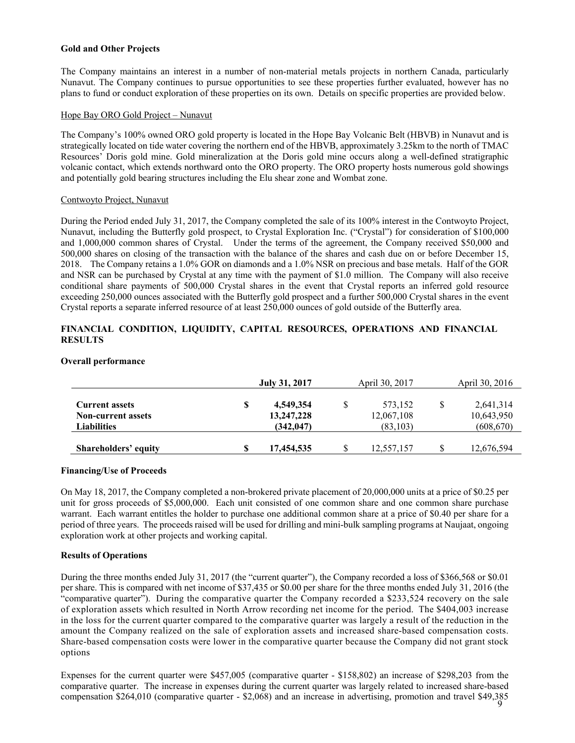## **Gold and Other Projects**

The Company maintains an interest in a number of non-material metals projects in northern Canada, particularly Nunavut. The Company continues to pursue opportunities to see these properties further evaluated, however has no plans to fund or conduct exploration of these properties on its own. Details on specific properties are provided below.

## Hope Bay ORO Gold Project – Nunavut

The Company's 100% owned ORO gold property is located in the Hope Bay Volcanic Belt (HBVB) in Nunavut and is strategically located on tide water covering the northern end of the HBVB, approximately 3.25km to the north of TMAC Resources' Doris gold mine. Gold mineralization at the Doris gold mine occurs along a well-defined stratigraphic volcanic contact, which extends northward onto the ORO property. The ORO property hosts numerous gold showings and potentially gold bearing structures including the Elu shear zone and Wombat zone.

## Contwoyto Project, Nunavut

During the Period ended July 31, 2017, the Company completed the sale of its 100% interest in the Contwoyto Project, Nunavut, including the Butterfly gold prospect, to Crystal Exploration Inc. ("Crystal") for consideration of \$100,000 and 1,000,000 common shares of Crystal. Under the terms of the agreement, the Company received \$50,000 and 500,000 shares on closing of the transaction with the balance of the shares and cash due on or before December 15, 2018. The Company retains a 1.0% GOR on diamonds and a 1.0% NSR on precious and base metals. Half of the GOR and NSR can be purchased by Crystal at any time with the payment of \$1.0 million. The Company will also receive conditional share payments of 500,000 Crystal shares in the event that Crystal reports an inferred gold resource exceeding 250,000 ounces associated with the Butterfly gold prospect and a further 500,000 Crystal shares in the event Crystal reports a separate inferred resource of at least 250,000 ounces of gold outside of the Butterfly area.

## **FINANCIAL CONDITION, LIQUIDITY, CAPITAL RESOURCES, OPERATIONS AND FINANCIAL RESULTS**

## **Overall performance**

|                                                                          | July 31, 2017                               |   | April 30, 2017                     |   | April 30, 2016                        |
|--------------------------------------------------------------------------|---------------------------------------------|---|------------------------------------|---|---------------------------------------|
| <b>Current assets</b><br><b>Non-current assets</b><br><b>Liabilities</b> | \$<br>4,549,354<br>13,247,228<br>(342, 047) | S | 573,152<br>12,067,108<br>(83, 103) | S | 2,641,314<br>10,643,950<br>(608, 670) |
| Shareholders' equity                                                     | 17.454.535                                  |   | 12,557,157                         |   | 12,676,594                            |

#### **Financing/Use of Proceeds**

On May 18, 2017, the Company completed a non-brokered private placement of 20,000,000 units at a price of \$0.25 per unit for gross proceeds of \$5,000,000. Each unit consisted of one common share and one common share purchase warrant. Each warrant entitles the holder to purchase one additional common share at a price of \$0.40 per share for a period of three years. The proceeds raised will be used for drilling and mini-bulk sampling programs at Naujaat, ongoing exploration work at other projects and working capital.

#### **Results of Operations**

During the three months ended July 31, 2017 (the "current quarter"), the Company recorded a loss of \$366,568 or \$0.01 per share. This is compared with net income of \$37,435 or \$0.00 per share for the three months ended July 31, 2016 (the "comparative quarter"). During the comparative quarter the Company recorded a \$233,524 recovery on the sale of exploration assets which resulted in North Arrow recording net income for the period. The \$404,003 increase in the loss for the current quarter compared to the comparative quarter was largely a result of the reduction in the amount the Company realized on the sale of exploration assets and increased share-based compensation costs. Share-based compensation costs were lower in the comparative quarter because the Company did not grant stock options

9 compensation \$264,010 (comparative quarter - \$2,068) and an increase in advertising, promotion and travel \$49,385 Expenses for the current quarter were \$457,005 (comparative quarter - \$158,802) an increase of \$298,203 from the comparative quarter. The increase in expenses during the current quarter was largely related to increased share-based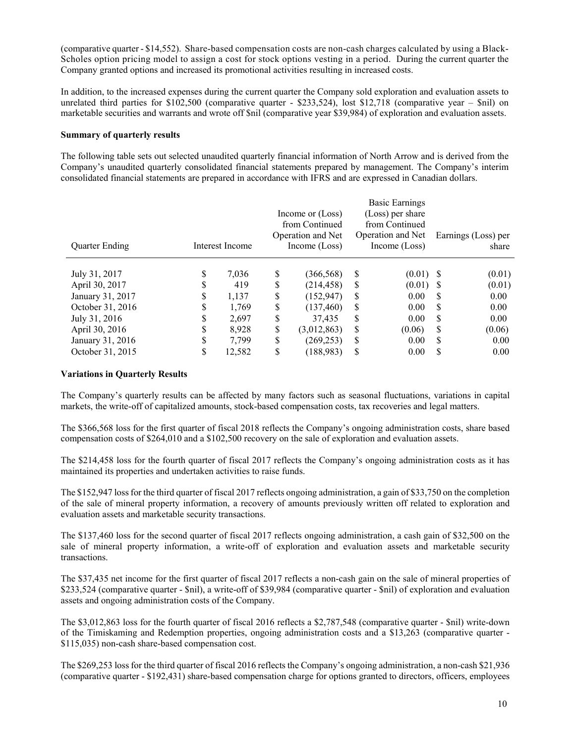(comparative quarter - \$14,552). Share-based compensation costs are non-cash charges calculated by using a Black-Scholes option pricing model to assign a cost for stock options vesting in a period. During the current quarter the Company granted options and increased its promotional activities resulting in increased costs.

In addition, to the increased expenses during the current quarter the Company sold exploration and evaluation assets to unrelated third parties for \$102,500 (comparative quarter - \$233,524), lost \$12,718 (comparative year – \$nil) on marketable securities and warrants and wrote off \$nil (comparative year \$39,984) of exploration and evaluation assets.

## **Summary of quarterly results**

The following table sets out selected unaudited quarterly financial information of North Arrow and is derived from the Company's unaudited quarterly consolidated financial statements prepared by management. The Company's interim consolidated financial statements are prepared in accordance with IFRS and are expressed in Canadian dollars.

| <b>Quarter Ending</b> |    | Interest Income |    | Income or (Loss)<br>from Continued<br>Operation and Net<br>Income (Loss) |    | Basic Earnings<br>(Loss) per share<br>from Continued<br>Operation and Net<br>Income $(Loss)$ |          | Earnings (Loss) per<br>share |
|-----------------------|----|-----------------|----|--------------------------------------------------------------------------|----|----------------------------------------------------------------------------------------------|----------|------------------------------|
|                       |    |                 |    |                                                                          |    |                                                                                              |          |                              |
| July 31, 2017         | S  | 7,036           | S  | (366, 568)                                                               | S  | $(0.01)$ \$                                                                                  |          | (0.01)                       |
| April 30, 2017        | S  | 419             | \$ | (214, 458)                                                               | S  | (0.01)                                                                                       | S        | (0.01)                       |
| January 31, 2017      | S  | 1,137           | \$ | (152, 947)                                                               | S  | 0.00                                                                                         | <b>S</b> | 0.00                         |
| October 31, 2016      | D  | 1,769           | \$ | (137, 460)                                                               | S  | 0.00                                                                                         | S        | 0.00                         |
| July 31, 2016         | S  | 2,697           | \$ | 37.435                                                                   | \$ | 0.00                                                                                         | \$       | 0.00                         |
| April 30, 2016        | S  | 8,928           | \$ | (3,012,863)                                                              | \$ | (0.06)                                                                                       | S        | (0.06)                       |
| January 31, 2016      | \$ | 7,799           | \$ | (269, 253)                                                               | \$ | 0.00                                                                                         | S        | 0.00                         |
| October 31, 2015      | \$ | 12,582          | \$ | (188,983)                                                                | \$ | 0.00                                                                                         | S        | 0.00                         |

#### **Variations in Quarterly Results**

The Company's quarterly results can be affected by many factors such as seasonal fluctuations, variations in capital markets, the write-off of capitalized amounts, stock-based compensation costs, tax recoveries and legal matters.

The \$366,568 loss for the first quarter of fiscal 2018 reflects the Company's ongoing administration costs, share based compensation costs of \$264,010 and a \$102,500 recovery on the sale of exploration and evaluation assets.

The \$214,458 loss for the fourth quarter of fiscal 2017 reflects the Company's ongoing administration costs as it has maintained its properties and undertaken activities to raise funds.

The \$152,947 loss for the third quarter of fiscal 2017 reflects ongoing administration, a gain of \$33,750 on the completion of the sale of mineral property information, a recovery of amounts previously written off related to exploration and evaluation assets and marketable security transactions.

The \$137,460 loss for the second quarter of fiscal 2017 reflects ongoing administration, a cash gain of \$32,500 on the sale of mineral property information, a write-off of exploration and evaluation assets and marketable security transactions.

The \$37,435 net income for the first quarter of fiscal 2017 reflects a non-cash gain on the sale of mineral properties of \$233,524 (comparative quarter - \$nil), a write-off of \$39,984 (comparative quarter - \$nil) of exploration and evaluation assets and ongoing administration costs of the Company.

The \$3,012,863 loss for the fourth quarter of fiscal 2016 reflects a \$2,787,548 (comparative quarter - \$nil) write-down of the Timiskaming and Redemption properties, ongoing administration costs and a \$13,263 (comparative quarter - \$115,035) non-cash share-based compensation cost.

The \$269,253 loss for the third quarter of fiscal 2016 reflects the Company's ongoing administration, a non-cash \$21,936 (comparative quarter - \$192,431) share-based compensation charge for options granted to directors, officers, employees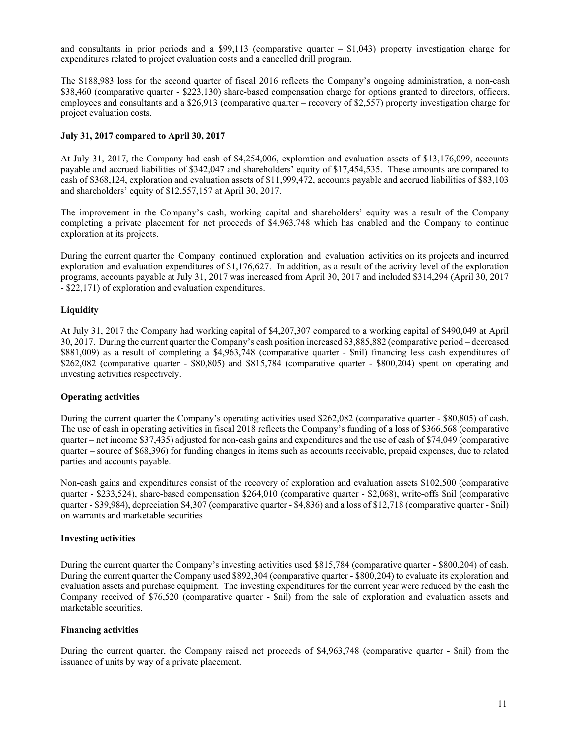and consultants in prior periods and a \$99,113 (comparative quarter  $-$  \$1,043) property investigation charge for expenditures related to project evaluation costs and a cancelled drill program.

The \$188,983 loss for the second quarter of fiscal 2016 reflects the Company's ongoing administration, a non-cash \$38,460 (comparative quarter - \$223,130) share-based compensation charge for options granted to directors, officers, employees and consultants and a \$26,913 (comparative quarter – recovery of \$2,557) property investigation charge for project evaluation costs.

## **July 31, 2017 compared to April 30, 2017**

At July 31, 2017, the Company had cash of \$4,254,006, exploration and evaluation assets of \$13,176,099, accounts payable and accrued liabilities of \$342,047 and shareholders' equity of \$17,454,535. These amounts are compared to cash of \$368,124, exploration and evaluation assets of \$11,999,472, accounts payable and accrued liabilities of \$83,103 and shareholders' equity of \$12,557,157 at April 30, 2017.

The improvement in the Company's cash, working capital and shareholders' equity was a result of the Company completing a private placement for net proceeds of \$4,963,748 which has enabled and the Company to continue exploration at its projects.

During the current quarter the Company continued exploration and evaluation activities on its projects and incurred exploration and evaluation expenditures of \$1,176,627. In addition, as a result of the activity level of the exploration programs, accounts payable at July 31, 2017 was increased from April 30, 2017 and included \$314,294 (April 30, 2017 - \$22,171) of exploration and evaluation expenditures.

## **Liquidity**

At July 31, 2017 the Company had working capital of \$4,207,307 compared to a working capital of \$490,049 at April 30, 2017. During the current quarter the Company's cash position increased \$3,885,882 (comparative period – decreased \$881,009) as a result of completing a \$4,963,748 (comparative quarter - \$nil) financing less cash expenditures of \$262,082 (comparative quarter - \$80,805) and \$815,784 (comparative quarter - \$800,204) spent on operating and investing activities respectively.

#### **Operating activities**

During the current quarter the Company's operating activities used \$262,082 (comparative quarter - \$80,805) of cash. The use of cash in operating activities in fiscal 2018 reflects the Company's funding of a loss of \$366,568 (comparative quarter – net income \$37,435) adjusted for non-cash gains and expenditures and the use of cash of \$74,049 (comparative quarter – source of \$68,396) for funding changes in items such as accounts receivable, prepaid expenses, due to related parties and accounts payable.

Non-cash gains and expenditures consist of the recovery of exploration and evaluation assets \$102,500 (comparative quarter - \$233,524), share-based compensation \$264,010 (comparative quarter - \$2,068), write-offs \$nil (comparative quarter - \$39,984), depreciation \$4,307 (comparative quarter - \$4,836) and a loss of \$12,718 (comparative quarter - \$nil) on warrants and marketable securities

#### **Investing activities**

During the current quarter the Company's investing activities used \$815,784 (comparative quarter - \$800,204) of cash. During the current quarter the Company used \$892,304 (comparative quarter - \$800,204) to evaluate its exploration and evaluation assets and purchase equipment. The investing expenditures for the current year were reduced by the cash the Company received of \$76,520 (comparative quarter - \$nil) from the sale of exploration and evaluation assets and marketable securities.

## **Financing activities**

During the current quarter, the Company raised net proceeds of \$4,963,748 (comparative quarter - \$nil) from the issuance of units by way of a private placement.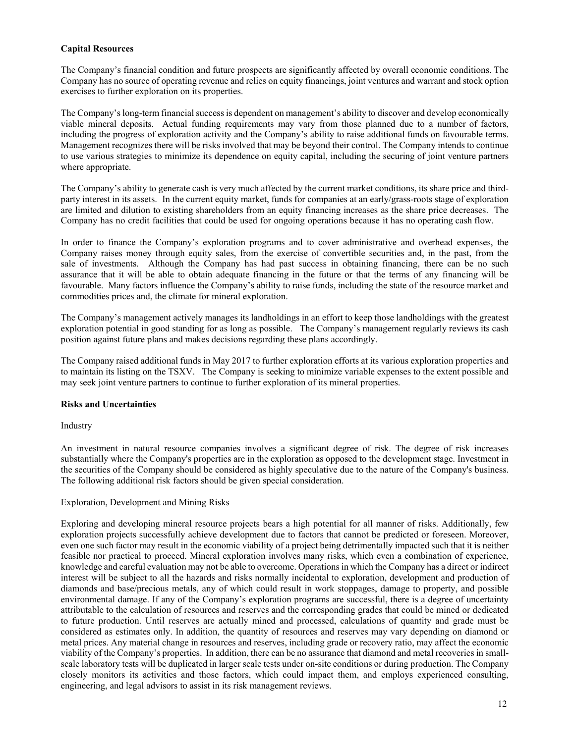## **Capital Resources**

The Company's financial condition and future prospects are significantly affected by overall economic conditions. The Company has no source of operating revenue and relies on equity financings, joint ventures and warrant and stock option exercises to further exploration on its properties.

The Company's long-term financial success is dependent on management's ability to discover and develop economically viable mineral deposits. Actual funding requirements may vary from those planned due to a number of factors, including the progress of exploration activity and the Company's ability to raise additional funds on favourable terms. Management recognizes there will be risks involved that may be beyond their control. The Company intends to continue to use various strategies to minimize its dependence on equity capital, including the securing of joint venture partners where appropriate.

The Company's ability to generate cash is very much affected by the current market conditions, its share price and thirdparty interest in its assets. In the current equity market, funds for companies at an early/grass-roots stage of exploration are limited and dilution to existing shareholders from an equity financing increases as the share price decreases. The Company has no credit facilities that could be used for ongoing operations because it has no operating cash flow.

In order to finance the Company's exploration programs and to cover administrative and overhead expenses, the Company raises money through equity sales, from the exercise of convertible securities and, in the past, from the sale of investments. Although the Company has had past success in obtaining financing, there can be no such assurance that it will be able to obtain adequate financing in the future or that the terms of any financing will be favourable. Many factors influence the Company's ability to raise funds, including the state of the resource market and commodities prices and, the climate for mineral exploration.

The Company's management actively manages its landholdings in an effort to keep those landholdings with the greatest exploration potential in good standing for as long as possible. The Company's management regularly reviews its cash position against future plans and makes decisions regarding these plans accordingly.

The Company raised additional funds in May 2017 to further exploration efforts at its various exploration properties and to maintain its listing on the TSXV. The Company is seeking to minimize variable expenses to the extent possible and may seek joint venture partners to continue to further exploration of its mineral properties.

#### **Risks and Uncertainties**

Industry

An investment in natural resource companies involves a significant degree of risk. The degree of risk increases substantially where the Company's properties are in the exploration as opposed to the development stage. Investment in the securities of the Company should be considered as highly speculative due to the nature of the Company's business. The following additional risk factors should be given special consideration.

## Exploration, Development and Mining Risks

Exploring and developing mineral resource projects bears a high potential for all manner of risks. Additionally, few exploration projects successfully achieve development due to factors that cannot be predicted or foreseen. Moreover, even one such factor may result in the economic viability of a project being detrimentally impacted such that it is neither feasible nor practical to proceed. Mineral exploration involves many risks, which even a combination of experience, knowledge and careful evaluation may not be able to overcome. Operations in which the Company has a direct or indirect interest will be subject to all the hazards and risks normally incidental to exploration, development and production of diamonds and base/precious metals, any of which could result in work stoppages, damage to property, and possible environmental damage. If any of the Company's exploration programs are successful, there is a degree of uncertainty attributable to the calculation of resources and reserves and the corresponding grades that could be mined or dedicated to future production. Until reserves are actually mined and processed, calculations of quantity and grade must be considered as estimates only. In addition, the quantity of resources and reserves may vary depending on diamond or metal prices. Any material change in resources and reserves, including grade or recovery ratio, may affect the economic viability of the Company's properties. In addition, there can be no assurance that diamond and metal recoveries in smallscale laboratory tests will be duplicated in larger scale tests under on-site conditions or during production. The Company closely monitors its activities and those factors, which could impact them, and employs experienced consulting, engineering, and legal advisors to assist in its risk management reviews.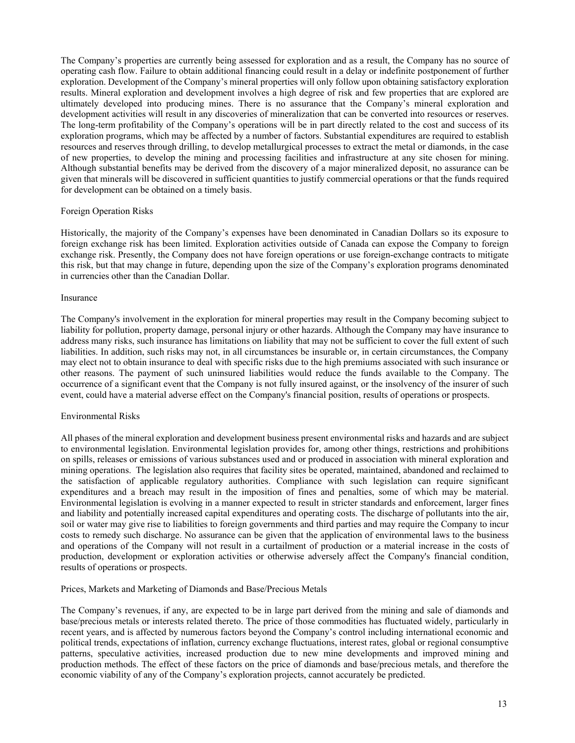The Company's properties are currently being assessed for exploration and as a result, the Company has no source of operating cash flow. Failure to obtain additional financing could result in a delay or indefinite postponement of further exploration. Development of the Company's mineral properties will only follow upon obtaining satisfactory exploration results. Mineral exploration and development involves a high degree of risk and few properties that are explored are ultimately developed into producing mines. There is no assurance that the Company's mineral exploration and development activities will result in any discoveries of mineralization that can be converted into resources or reserves. The long-term profitability of the Company's operations will be in part directly related to the cost and success of its exploration programs, which may be affected by a number of factors. Substantial expenditures are required to establish resources and reserves through drilling, to develop metallurgical processes to extract the metal or diamonds, in the case of new properties, to develop the mining and processing facilities and infrastructure at any site chosen for mining. Although substantial benefits may be derived from the discovery of a major mineralized deposit, no assurance can be given that minerals will be discovered in sufficient quantities to justify commercial operations or that the funds required for development can be obtained on a timely basis.

#### Foreign Operation Risks

Historically, the majority of the Company's expenses have been denominated in Canadian Dollars so its exposure to foreign exchange risk has been limited. Exploration activities outside of Canada can expose the Company to foreign exchange risk. Presently, the Company does not have foreign operations or use foreign-exchange contracts to mitigate this risk, but that may change in future, depending upon the size of the Company's exploration programs denominated in currencies other than the Canadian Dollar.

#### Insurance

The Company's involvement in the exploration for mineral properties may result in the Company becoming subject to liability for pollution, property damage, personal injury or other hazards. Although the Company may have insurance to address many risks, such insurance has limitations on liability that may not be sufficient to cover the full extent of such liabilities. In addition, such risks may not, in all circumstances be insurable or, in certain circumstances, the Company may elect not to obtain insurance to deal with specific risks due to the high premiums associated with such insurance or other reasons. The payment of such uninsured liabilities would reduce the funds available to the Company. The occurrence of a significant event that the Company is not fully insured against, or the insolvency of the insurer of such event, could have a material adverse effect on the Company's financial position, results of operations or prospects.

#### Environmental Risks

All phases of the mineral exploration and development business present environmental risks and hazards and are subject to environmental legislation. Environmental legislation provides for, among other things, restrictions and prohibitions on spills, releases or emissions of various substances used and or produced in association with mineral exploration and mining operations. The legislation also requires that facility sites be operated, maintained, abandoned and reclaimed to the satisfaction of applicable regulatory authorities. Compliance with such legislation can require significant expenditures and a breach may result in the imposition of fines and penalties, some of which may be material. Environmental legislation is evolving in a manner expected to result in stricter standards and enforcement, larger fines and liability and potentially increased capital expenditures and operating costs. The discharge of pollutants into the air, soil or water may give rise to liabilities to foreign governments and third parties and may require the Company to incur costs to remedy such discharge. No assurance can be given that the application of environmental laws to the business and operations of the Company will not result in a curtailment of production or a material increase in the costs of production, development or exploration activities or otherwise adversely affect the Company's financial condition, results of operations or prospects.

#### Prices, Markets and Marketing of Diamonds and Base/Precious Metals

The Company's revenues, if any, are expected to be in large part derived from the mining and sale of diamonds and base/precious metals or interests related thereto. The price of those commodities has fluctuated widely, particularly in recent years, and is affected by numerous factors beyond the Company's control including international economic and political trends, expectations of inflation, currency exchange fluctuations, interest rates, global or regional consumptive patterns, speculative activities, increased production due to new mine developments and improved mining and production methods. The effect of these factors on the price of diamonds and base/precious metals, and therefore the economic viability of any of the Company's exploration projects, cannot accurately be predicted.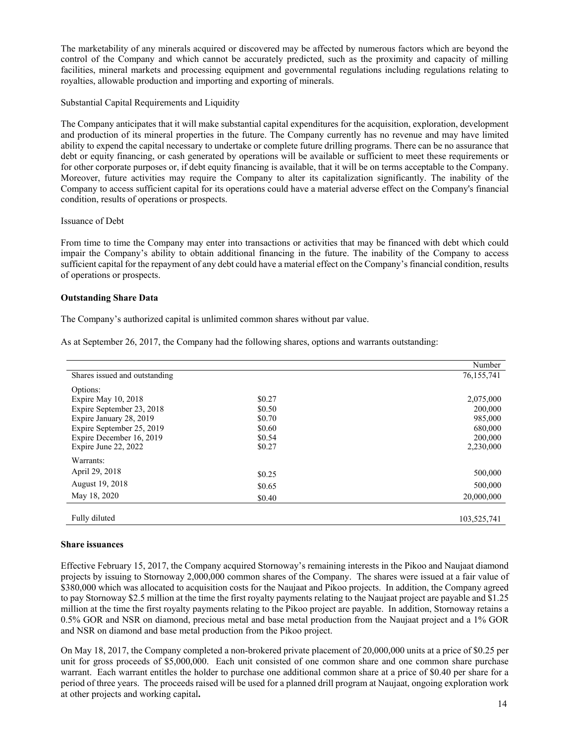The marketability of any minerals acquired or discovered may be affected by numerous factors which are beyond the control of the Company and which cannot be accurately predicted, such as the proximity and capacity of milling facilities, mineral markets and processing equipment and governmental regulations including regulations relating to royalties, allowable production and importing and exporting of minerals.

Substantial Capital Requirements and Liquidity

The Company anticipates that it will make substantial capital expenditures for the acquisition, exploration, development and production of its mineral properties in the future. The Company currently has no revenue and may have limited ability to expend the capital necessary to undertake or complete future drilling programs. There can be no assurance that debt or equity financing, or cash generated by operations will be available or sufficient to meet these requirements or for other corporate purposes or, if debt equity financing is available, that it will be on terms acceptable to the Company. Moreover, future activities may require the Company to alter its capitalization significantly. The inability of the Company to access sufficient capital for its operations could have a material adverse effect on the Company's financial condition, results of operations or prospects.

## Issuance of Debt

From time to time the Company may enter into transactions or activities that may be financed with debt which could impair the Company's ability to obtain additional financing in the future. The inability of the Company to access sufficient capital for the repayment of any debt could have a material effect on the Company's financial condition, results of operations or prospects.

## **Outstanding Share Data**

The Company's authorized capital is unlimited common shares without par value.

As at September 26, 2017, the Company had the following shares, options and warrants outstanding:

|                               |        | Number      |
|-------------------------------|--------|-------------|
| Shares issued and outstanding |        | 76,155,741  |
| Options:                      |        |             |
| Expire May 10, 2018           | \$0.27 | 2,075,000   |
| Expire September 23, 2018     | \$0.50 | 200,000     |
| Expire January 28, 2019       | \$0.70 | 985,000     |
| Expire September 25, 2019     | \$0.60 | 680,000     |
| Expire December 16, 2019      | \$0.54 | 200,000     |
| Expire June 22, 2022          | \$0.27 | 2,230,000   |
| Warrants:                     |        |             |
| April 29, 2018                | \$0.25 | 500,000     |
| August 19, 2018               | \$0.65 | 500,000     |
| May 18, 2020                  | \$0.40 | 20,000,000  |
|                               |        |             |
| Fully diluted                 |        | 103,525,741 |

#### **Share issuances**

Effective February 15, 2017, the Company acquired Stornoway's remaining interests in the Pikoo and Naujaat diamond projects by issuing to Stornoway 2,000,000 common shares of the Company. The shares were issued at a fair value of \$380,000 which was allocated to acquisition costs for the Naujaat and Pikoo projects. In addition, the Company agreed to pay Stornoway \$2.5 million at the time the first royalty payments relating to the Naujaat project are payable and \$1.25 million at the time the first royalty payments relating to the Pikoo project are payable. In addition, Stornoway retains a 0.5% GOR and NSR on diamond, precious metal and base metal production from the Naujaat project and a 1% GOR and NSR on diamond and base metal production from the Pikoo project.

On May 18, 2017, the Company completed a non-brokered private placement of 20,000,000 units at a price of \$0.25 per unit for gross proceeds of \$5,000,000. Each unit consisted of one common share and one common share purchase warrant. Each warrant entitles the holder to purchase one additional common share at a price of \$0.40 per share for a period of three years. The proceeds raised will be used for a planned drill program at Naujaat, ongoing exploration work at other projects and working capital**.**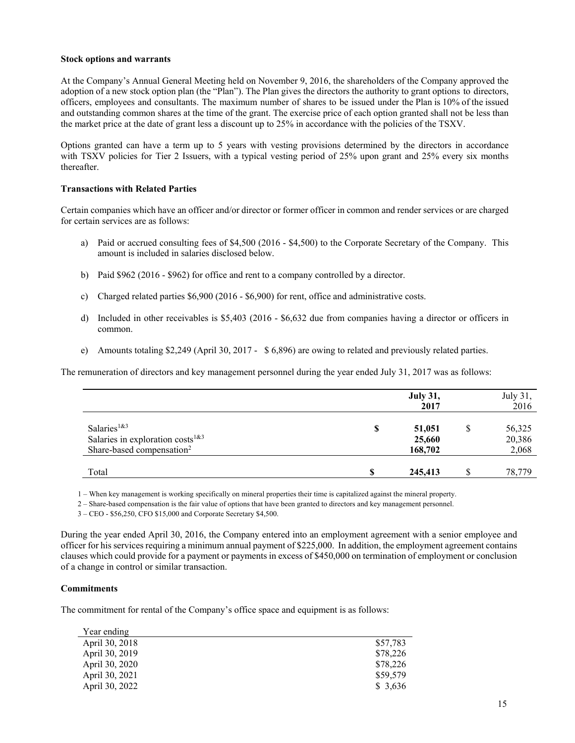#### **Stock options and warrants**

At the Company's Annual General Meeting held on November 9, 2016, the shareholders of the Company approved the adoption of a new stock option plan (the "Plan"). The Plan gives the directors the authority to grant options to directors, officers, employees and consultants. The maximum number of shares to be issued under the Plan is 10% of the issued and outstanding common shares at the time of the grant. The exercise price of each option granted shall not be less than the market price at the date of grant less a discount up to 25% in accordance with the policies of the TSXV.

Options granted can have a term up to 5 years with vesting provisions determined by the directors in accordance with TSXV policies for Tier 2 Issuers, with a typical vesting period of 25% upon grant and 25% every six months thereafter.

## **Transactions with Related Parties**

Certain companies which have an officer and/or director or former officer in common and render services or are charged for certain services are as follows:

- a) Paid or accrued consulting fees of \$4,500 (2016 \$4,500) to the Corporate Secretary of the Company. This amount is included in salaries disclosed below.
- b) Paid \$962 (2016 \$962) for office and rent to a company controlled by a director.
- c) Charged related parties \$6,900 (2016 \$6,900) for rent, office and administrative costs.
- d) Included in other receivables is \$5,403 (2016 \$6,632 due from companies having a director or officers in common.
- e) Amounts totaling \$2,249 (April 30, 2017 \$ 6,896) are owing to related and previously related parties.

The remuneration of directors and key management personnel during the year ended July 31, 2017 was as follows:

|                                                                                                                          |   | <b>July 31,</b><br>2017     |   | July 31,<br>2016          |
|--------------------------------------------------------------------------------------------------------------------------|---|-----------------------------|---|---------------------------|
| Salaries <sup>1&amp;3</sup><br>Salaries in exploration costs <sup>1&amp;3</sup><br>Share-based compensation <sup>2</sup> | S | 51,051<br>25,660<br>168,702 | S | 56,325<br>20,386<br>2,068 |
| Total                                                                                                                    |   | 245,413                     |   | 78,779                    |

1 – When key management is working specifically on mineral properties their time is capitalized against the mineral property.

2 – Share-based compensation is the fair value of options that have been granted to directors and key management personnel.

3 – CEO - \$56,250, CFO \$15,000 and Corporate Secretary \$4,500.

During the year ended April 30, 2016, the Company entered into an employment agreement with a senior employee and officer for his services requiring a minimum annual payment of \$225,000. In addition, the employment agreement contains clauses which could provide for a payment or payments in excess of \$450,000 on termination of employment or conclusion of a change in control or similar transaction.

## **Commitments**

The commitment for rental of the Company's office space and equipment is as follows:

| Year ending    |          |
|----------------|----------|
| April 30, 2018 | \$57,783 |
| April 30, 2019 | \$78,226 |
| April 30, 2020 | \$78,226 |
| April 30, 2021 | \$59,579 |
| April 30, 2022 | \$ 3,636 |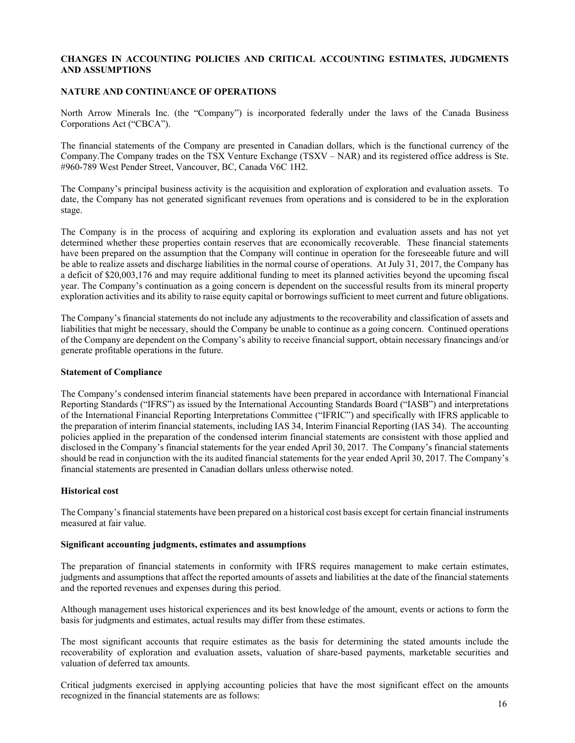## **CHANGES IN ACCOUNTING POLICIES AND CRITICAL ACCOUNTING ESTIMATES, JUDGMENTS AND ASSUMPTIONS**

## **NATURE AND CONTINUANCE OF OPERATIONS**

North Arrow Minerals Inc. (the "Company") is incorporated federally under the laws of the Canada Business Corporations Act ("CBCA").

The financial statements of the Company are presented in Canadian dollars, which is the functional currency of the Company.The Company trades on the TSX Venture Exchange (TSXV – NAR) and its registered office address is Ste. #960-789 West Pender Street, Vancouver, BC, Canada V6C 1H2.

The Company's principal business activity is the acquisition and exploration of exploration and evaluation assets. To date, the Company has not generated significant revenues from operations and is considered to be in the exploration stage.

The Company is in the process of acquiring and exploring its exploration and evaluation assets and has not yet determined whether these properties contain reserves that are economically recoverable. These financial statements have been prepared on the assumption that the Company will continue in operation for the foreseeable future and will be able to realize assets and discharge liabilities in the normal course of operations. At July 31, 2017, the Company has a deficit of \$20,003,176 and may require additional funding to meet its planned activities beyond the upcoming fiscal year. The Company's continuation as a going concern is dependent on the successful results from its mineral property exploration activities and its ability to raise equity capital or borrowings sufficient to meet current and future obligations.

The Company's financial statements do not include any adjustments to the recoverability and classification of assets and liabilities that might be necessary, should the Company be unable to continue as a going concern. Continued operations of the Company are dependent on the Company's ability to receive financial support, obtain necessary financings and/or generate profitable operations in the future.

#### **Statement of Compliance**

The Company's condensed interim financial statements have been prepared in accordance with International Financial Reporting Standards ("IFRS") as issued by the International Accounting Standards Board ("IASB") and interpretations of the International Financial Reporting Interpretations Committee ("IFRIC") and specifically with IFRS applicable to the preparation of interim financial statements, including IAS 34, Interim Financial Reporting (IAS 34). The accounting policies applied in the preparation of the condensed interim financial statements are consistent with those applied and disclosed in the Company's financial statements for the year ended April 30, 2017. The Company's financial statements should be read in conjunction with the its audited financial statements for the year ended April 30, 2017. The Company's financial statements are presented in Canadian dollars unless otherwise noted.

#### **Historical cost**

The Company's financial statements have been prepared on a historical cost basis except for certain financial instruments measured at fair value.

#### **Significant accounting judgments, estimates and assumptions**

The preparation of financial statements in conformity with IFRS requires management to make certain estimates, judgments and assumptions that affect the reported amounts of assets and liabilities at the date of the financial statements and the reported revenues and expenses during this period.

Although management uses historical experiences and its best knowledge of the amount, events or actions to form the basis for judgments and estimates, actual results may differ from these estimates.

The most significant accounts that require estimates as the basis for determining the stated amounts include the recoverability of exploration and evaluation assets, valuation of share-based payments, marketable securities and valuation of deferred tax amounts.

Critical judgments exercised in applying accounting policies that have the most significant effect on the amounts recognized in the financial statements are as follows: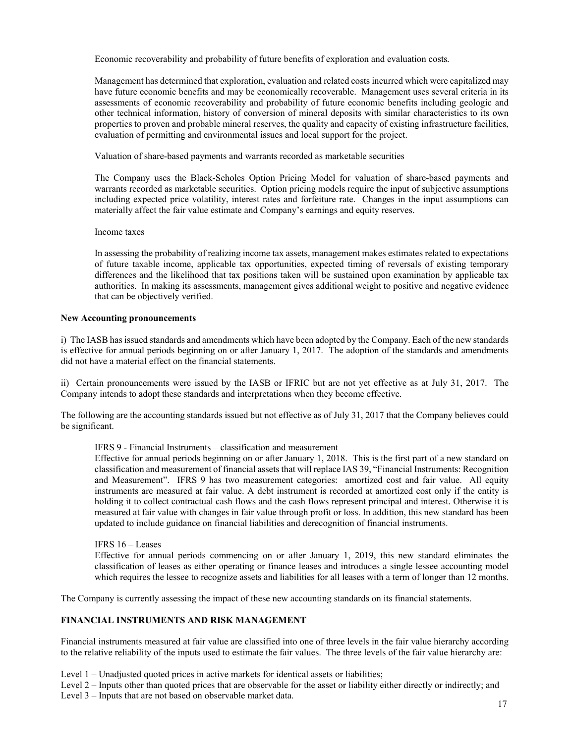Economic recoverability and probability of future benefits of exploration and evaluation costs*.* 

Management has determined that exploration, evaluation and related costs incurred which were capitalized may have future economic benefits and may be economically recoverable. Management uses several criteria in its assessments of economic recoverability and probability of future economic benefits including geologic and other technical information, history of conversion of mineral deposits with similar characteristics to its own properties to proven and probable mineral reserves, the quality and capacity of existing infrastructure facilities, evaluation of permitting and environmental issues and local support for the project.

Valuation of share-based payments and warrants recorded as marketable securities

The Company uses the Black-Scholes Option Pricing Model for valuation of share-based payments and warrants recorded as marketable securities. Option pricing models require the input of subjective assumptions including expected price volatility, interest rates and forfeiture rate. Changes in the input assumptions can materially affect the fair value estimate and Company's earnings and equity reserves.

#### Income taxes

In assessing the probability of realizing income tax assets, management makes estimates related to expectations of future taxable income, applicable tax opportunities, expected timing of reversals of existing temporary differences and the likelihood that tax positions taken will be sustained upon examination by applicable tax authorities. In making its assessments, management gives additional weight to positive and negative evidence that can be objectively verified.

## **New Accounting pronouncements**

i) The IASB has issued standards and amendments which have been adopted by the Company. Each of the new standards is effective for annual periods beginning on or after January 1, 2017. The adoption of the standards and amendments did not have a material effect on the financial statements.

ii) Certain pronouncements were issued by the IASB or IFRIC but are not yet effective as at July 31, 2017. The Company intends to adopt these standards and interpretations when they become effective.

The following are the accounting standards issued but not effective as of July 31, 2017 that the Company believes could be significant.

IFRS 9 - Financial Instruments – classification and measurement

Effective for annual periods beginning on or after January 1, 2018. This is the first part of a new standard on classification and measurement of financial assets that will replace IAS 39, "Financial Instruments: Recognition and Measurement". IFRS 9 has two measurement categories: amortized cost and fair value. All equity instruments are measured at fair value. A debt instrument is recorded at amortized cost only if the entity is holding it to collect contractual cash flows and the cash flows represent principal and interest. Otherwise it is measured at fair value with changes in fair value through profit or loss. In addition, this new standard has been updated to include guidance on financial liabilities and derecognition of financial instruments.

IFRS 16 – Leases

Effective for annual periods commencing on or after January 1, 2019, this new standard eliminates the classification of leases as either operating or finance leases and introduces a single lessee accounting model which requires the lessee to recognize assets and liabilities for all leases with a term of longer than 12 months.

The Company is currently assessing the impact of these new accounting standards on its financial statements.

## **FINANCIAL INSTRUMENTS AND RISK MANAGEMENT**

Financial instruments measured at fair value are classified into one of three levels in the fair value hierarchy according to the relative reliability of the inputs used to estimate the fair values. The three levels of the fair value hierarchy are:

Level 1 – Unadjusted quoted prices in active markets for identical assets or liabilities;

Level 2 – Inputs other than quoted prices that are observable for the asset or liability either directly or indirectly; and

Level 3 – Inputs that are not based on observable market data.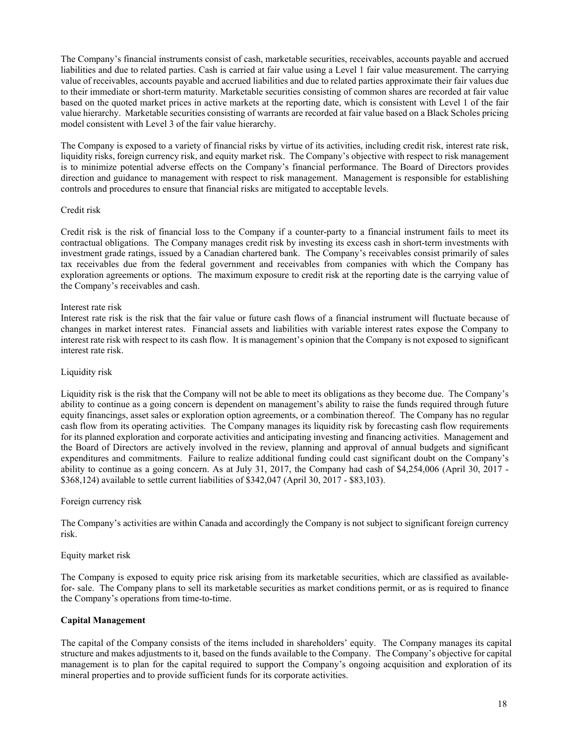The Company's financial instruments consist of cash, marketable securities, receivables, accounts payable and accrued liabilities and due to related parties. Cash is carried at fair value using a Level 1 fair value measurement. The carrying value of receivables, accounts payable and accrued liabilities and due to related parties approximate their fair values due to their immediate or short-term maturity. Marketable securities consisting of common shares are recorded at fair value based on the quoted market prices in active markets at the reporting date, which is consistent with Level 1 of the fair value hierarchy. Marketable securities consisting of warrants are recorded at fair value based on a Black Scholes pricing model consistent with Level 3 of the fair value hierarchy.

The Company is exposed to a variety of financial risks by virtue of its activities, including credit risk, interest rate risk, liquidity risks, foreign currency risk, and equity market risk. The Company's objective with respect to risk management is to minimize potential adverse effects on the Company's financial performance. The Board of Directors provides direction and guidance to management with respect to risk management. Management is responsible for establishing controls and procedures to ensure that financial risks are mitigated to acceptable levels.

## Credit risk

Credit risk is the risk of financial loss to the Company if a counter-party to a financial instrument fails to meet its contractual obligations. The Company manages credit risk by investing its excess cash in short-term investments with investment grade ratings, issued by a Canadian chartered bank. The Company's receivables consist primarily of sales tax receivables due from the federal government and receivables from companies with which the Company has exploration agreements or options. The maximum exposure to credit risk at the reporting date is the carrying value of the Company's receivables and cash.

#### Interest rate risk

Interest rate risk is the risk that the fair value or future cash flows of a financial instrument will fluctuate because of changes in market interest rates. Financial assets and liabilities with variable interest rates expose the Company to interest rate risk with respect to its cash flow. It is management's opinion that the Company is not exposed to significant interest rate risk.

#### Liquidity risk

Liquidity risk is the risk that the Company will not be able to meet its obligations as they become due. The Company's ability to continue as a going concern is dependent on management's ability to raise the funds required through future equity financings, asset sales or exploration option agreements, or a combination thereof. The Company has no regular cash flow from its operating activities. The Company manages its liquidity risk by forecasting cash flow requirements for its planned exploration and corporate activities and anticipating investing and financing activities. Management and the Board of Directors are actively involved in the review, planning and approval of annual budgets and significant expenditures and commitments. Failure to realize additional funding could cast significant doubt on the Company's ability to continue as a going concern. As at July 31, 2017, the Company had cash of \$4,254,006 (April 30, 2017 - \$368,124) available to settle current liabilities of \$342,047 (April 30, 2017 - \$83,103).

## Foreign currency risk

The Company's activities are within Canada and accordingly the Company is not subject to significant foreign currency risk.

#### Equity market risk

The Company is exposed to equity price risk arising from its marketable securities, which are classified as availablefor- sale. The Company plans to sell its marketable securities as market conditions permit, or as is required to finance the Company's operations from time-to-time.

#### **Capital Management**

The capital of the Company consists of the items included in shareholders' equity. The Company manages its capital structure and makes adjustments to it, based on the funds available to the Company. The Company's objective for capital management is to plan for the capital required to support the Company's ongoing acquisition and exploration of its mineral properties and to provide sufficient funds for its corporate activities.